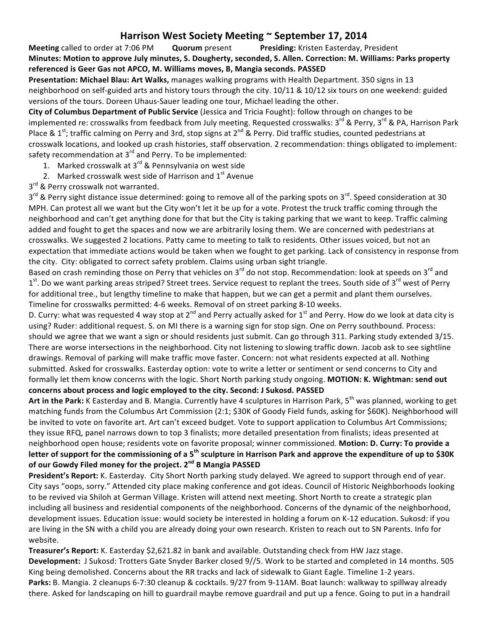## **Harrison West Society Meeting**  $\sim$  **September 17, 2014**

**Meeting** called to order at 7:06 PM **Quorum** present **Presiding:** Kristen Easterday, President **Minutes: Motion to approve July minutes, S. Dougherty, seconded, S. Allen. Correction: M. Williams: Parks property** referenced is Geer Gas not APCO, M. Williams moves, B, Mangia seconds. PASSED

Presentation: Michael Blau: Art Walks, manages walking programs with Health Department. 350 signs in 13 neighborhood on self-guided arts and history tours through the city. 10/11 & 10/12 six tours on one weekend: guided versions of the tours. Doreen Uhaus-Sauer leading one tour, Michael leading the other.

**City of Columbus Department of Public Service** (Jessica and Tricia Fought): follow through on changes to be implemented re: crosswalks from feedback from July meeting. Requested crosswalks: 3rd & Perry, 3rd & PA, Harrison Park Place & 1<sup>st</sup>; traffic calming on Perry and 3rd, stop signs at 2<sup>nd</sup> & Perry. Did traffic studies, counted pedestrians at crosswalk locations, and looked up crash histories, staff observation. 2 recommendation: things obligated to implement: safety recommendation at  $3^{rd}$  and Perry. To be implemented:

- 1. Marked crosswalk at 3<sup>rd</sup> & Pennsylvania on west side
- 2. Marked crosswalk west side of Harrison and  $1<sup>st</sup>$  Avenue

3<sup>rd</sup> & Perry crosswalk not warranted.

3<sup>rd</sup> & Perry sight distance issue determined: going to remove all of the parking spots on 3<sup>rd</sup>. Speed consideration at 30 MPH. Can protest all we want but the City won't let it be up for a vote. Protest the truck traffic coming through the neighborhood and can't get anything done for that but the City is taking parking that we want to keep. Traffic calming added and fought to get the spaces and now we are arbitrarily losing them. We are concerned with pedestrians at crosswalks. We suggested 2 locations. Patty came to meeting to talk to residents. Other issues voiced, but not an expectation that immediate actions would be taken when we fought to get parking. Lack of consistency in response from the city. City: obligated to correct safety problem. Claims using urban sight triangle.

Based on crash reminding those on Perry that vehicles on 3<sup>rd</sup> do not stop. Recommendation: look at speeds on 3<sup>rd</sup> and 1st. Do we want parking areas striped? Street trees. Service request to replant the trees. South side of 3<sup>rd</sup> west of Perry for additional tree., but lengthy timeline to make that happen, but we can get a permit and plant them ourselves. Timeline for crosswalks permitted: 4-6 weeks. Removal of on street parking 8-10 weeks.

D. Curry: what was requested 4 way stop at  $2^{nd}$  and Perry actually asked for  $1^{st}$  and Perry. How do we look at data city is using? Ruder: additional request. S. on MI there is a warning sign for stop sign. One on Perry southbound. Process: should we agree that we want a sign or should residents just submit. Can go through 311. Parking study extended 3/15. There are worse intersections in the neighborhood. City not listening to slowing traffic down. Jacob ask to see sightline drawings. Removal of parking will make traffic move faster. Concern: not what residents expected at all. Nothing submitted. Asked for crosswalks. Easterday option: vote to write a letter or sentiment or send concerns to City and formally let them know concerns with the logic. Short North parking study ongoing. **MOTION: K. Wightman: send out** concerns about process and logic employed to the city. Second: J Sukosd. PASSED

Art in the Park: K Easterday and B. Mangia. Currently have 4 sculptures in Harrison Park, 5<sup>th</sup> was planned, working to get matching funds from the Columbus Art Commission (2:1; \$30K of Goody Field funds, asking for \$60K). Neighborhood will be invited to vote on favorite art. Art can't exceed budget. Vote to support application to Columbus Art Commissions; they issue RFQ, panel narrows down to top 3 finalists; more detailed presentation from finalists; ideas presented at neighborhood open house; residents vote on favorite proposal; winner commissioned. Motion: D. Curry: To provide a letter of support for the commissioning of a 5<sup>th</sup> sculpture in Harrison Park and approve the expenditure of up to \$30K **of our Gowdy Filed money for the project. 2<sup>nd</sup> B Mangia PASSED** 

President's Report: K. Easterday. City Short North parking study delayed. We agreed to support through end of year. City says "oops, sorry." Attended city place making conference and got ideas. Council of Historic Neighborhoods looking to be revived via Shiloh at German Village. Kristen will attend next meeting. Short North to create a strategic plan including all business and residential components of the neighborhood. Concerns of the dynamic of the neighborhood, development issues. Education issue: would society be interested in holding a forum on K-12 education. Sukosd: if you are living in the SN with a child you are already doing your own research. Kristen to reach out to SN Parents. Info for website.

**Treasurer's Report:** K. Easterday \$2,621.82 in bank and available. Outstanding check from HW Jazz stage. **Development:** J Sukosd: Trotters Gate Snyder Barker closed 9//5. Work to be started and completed in 14 months. 505 King being demolished. Concerns about the RR tracks and lack of sidewalk to Giant Eagle. Timeline 1-2 years. Parks: B. Mangia. 2 cleanups 6-7:30 cleanup & cocktails. 9/27 from 9-11AM. Boat launch: walkway to spillway already there. Asked for landscaping on hill to guardrail maybe remove guardrail and put up a fence. Going to put in a handrail